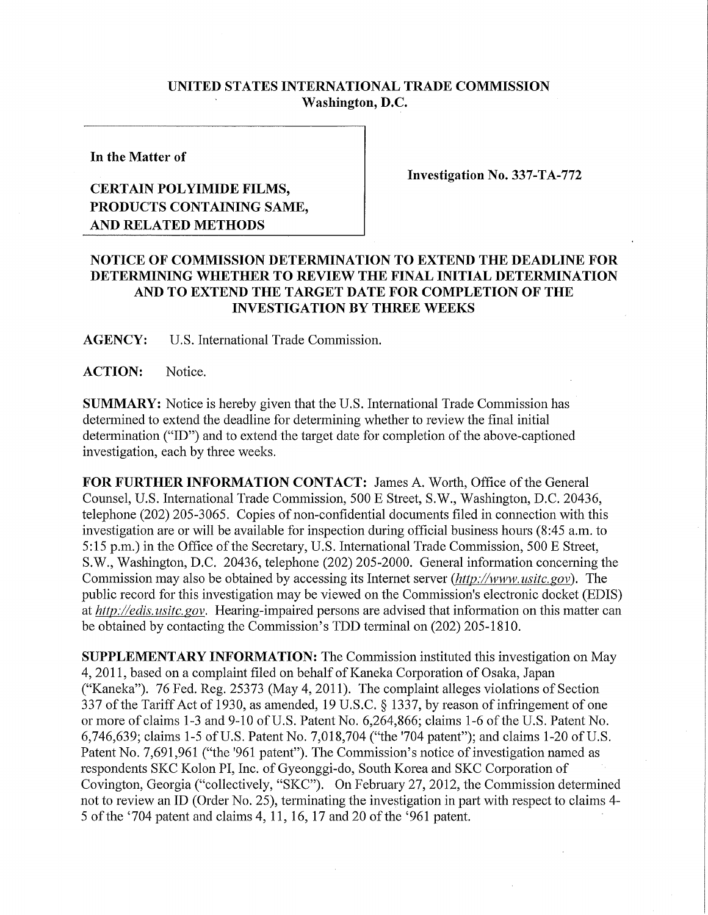## **UNITED STATES INTERNATIONAL TRADE COMMISSION Washington, D.C.**

**In the Matter of** 

## **CERTAIN POLYIMIDE FILMS, PRODUCTS CONTAINING SAME, AND RELATED METHODS**

**Investigation No. 337-TA-772** 

## **NOTICE OF COMMISSION DETERMINATION TO EXTEND THE DEADLINE FOR DETERMINING WHETHER TO REVIEW THE FINAL INITIAL DETERMINATION AND TO EXTEND THE TARGET DATE FOR COMPLETION OF THE INVESTIGATION BY THREE WEEKS**

**AGENCY:** U.S. International Trade Commission.

**ACTION:** Notice.

**SUMMARY:** Notice is hereby given that the U.S. International Trade Commission has determined to extend the deadline for detennining whether to review the final initial determination ("ID") and to extend the target date for completion of the above-captioned investigation, each by three weeks.

FOR FURTHER INFORMATION CONTACT: James A. Worth, Office of the General Counsel, U.S. International Trade Commission, 500 E Street, S.W., Washington, D.C. 20436, telephone (202) 205-3065. Copies of non-confidential documents filed in connection with this investigation are or will be available for inspection during official business hours (8:45 a.m. to 5:15 p.m.) in the Office of the Secretary, U.S. International Trade Commission, 500 E Street, S.W., Washington, D.C. 20436, telephone (202) 205-2000. General information concerning the Commission may also be obtained by accessing its Internet server *(http://www, usitc.gov).* The public record for this mvestigation may be viewed on the Commission's electronic docket (EDIS) at *http://edis. usitc. gov.* Hearing-impaired persons are advised that information on this matter can be obtained by contacting the Commission's TDD terminal on (202) 205-1810.

**SUPPLEMENTARY INFORMATION:** The Commission instituted this investigation on May 4, 2011, based on a complaint filed on behalf of Kaneka Corporation of Osaka, Japan ("Kaneka"). 76 Fed. Reg. 25373 (May 4, 2011). The complaint alleges violations of Section 337 of the Tariff Act of 1930, as amended, 19 U.S.C. § 1337, by reason of infringement of one or more of claims 1-3 and 9-10 of U.S. Patent No. 6,264,866; claims 1-6 of the U.S. Patent No. 6,746,639; claims 1-5 of U.S. Patent No. 7,018,704 ("the '704 patent"); and claims 1-20 of U.S. Patent No. 7,691,961 ("the '961 patent"). The Commission's notice of investigation named as respondents SKC Kolon PI, Inc. of Gyeonggi-do, South Korea and SKC Corporation of Covington, Georgia ("collectively, "SKC"). On February 27, 2012, the Commission determined not to review an ID (Order No. 25), temiinating the investigation in part with respect to claims 4- 5 of the '704 patent and claims 4, 11, 16, 17 and 20 of the '961 patent.